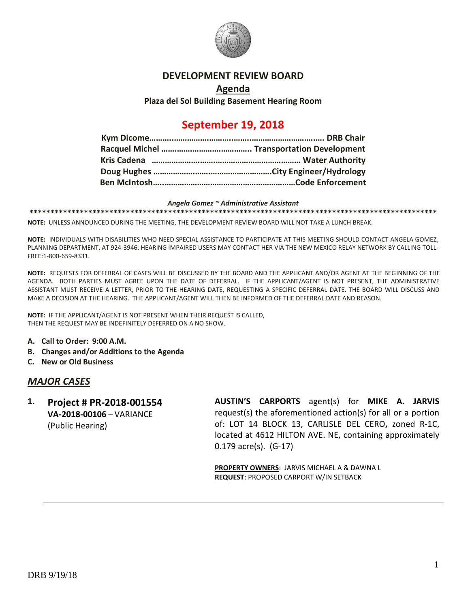

#### **DEVELOPMENT REVIEW BOARD**

#### **Agenda**

**Plaza del Sol Building Basement Hearing Room**

# **September 19, 2018**

#### *Angela Gomez ~ Administrative Assistant*

**\*\*\*\*\*\*\*\*\*\*\*\*\*\*\*\*\*\*\*\*\*\*\*\*\*\*\*\*\*\*\*\*\*\*\*\*\*\*\*\*\*\*\*\*\*\*\*\*\*\*\*\*\*\*\*\*\*\*\*\*\*\*\*\*\*\*\*\*\*\*\*\*\*\*\*\*\*\*\*\*\*\*\*\*\*\*\*\*\*\*\*\*\*\*\*\*\***

**NOTE:** UNLESS ANNOUNCED DURING THE MEETING, THE DEVELOPMENT REVIEW BOARD WILL NOT TAKE A LUNCH BREAK.

**NOTE:** INDIVIDUALS WITH DISABILITIES WHO NEED SPECIAL ASSISTANCE TO PARTICIPATE AT THIS MEETING SHOULD CONTACT ANGELA GOMEZ, PLANNING DEPARTMENT, AT 924-3946. HEARING IMPAIRED USERS MAY CONTACT HER VIA THE NEW MEXICO RELAY NETWORK BY CALLING TOLL-FREE:1-800-659-8331.

**NOTE:** REQUESTS FOR DEFERRAL OF CASES WILL BE DISCUSSED BY THE BOARD AND THE APPLICANT AND/OR AGENT AT THE BEGINNING OF THE AGENDA. BOTH PARTIES MUST AGREE UPON THE DATE OF DEFERRAL. IF THE APPLICANT/AGENT IS NOT PRESENT, THE ADMINISTRATIVE ASSISTANT MUST RECEIVE A LETTER, PRIOR TO THE HEARING DATE, REQUESTING A SPECIFIC DEFERRAL DATE. THE BOARD WILL DISCUSS AND MAKE A DECISION AT THE HEARING. THE APPLICANT/AGENT WILL THEN BE INFORMED OF THE DEFERRAL DATE AND REASON.

**NOTE:** IF THE APPLICANT/AGENT IS NOT PRESENT WHEN THEIR REQUEST IS CALLED, THEN THE REQUEST MAY BE INDEFINITELY DEFERRED ON A NO SHOW.

- **A. Call to Order: 9:00 A.M.**
- **B. Changes and/or Additions to the Agenda**
- **C. New or Old Business**

#### *MAJOR CASES*

**1. Project # PR-2018-001554 VA-2018-00106** – VARIANCE (Public Hearing)

**AUSTIN'S CARPORTS** agent(s) for **MIKE A. JARVIS** request(s) the aforementioned action(s) for all or a portion of: LOT 14 BLOCK 13, CARLISLE DEL CERO**,** zoned R-1C, located at 4612 HILTON AVE. NE, containing approximately 0.179 acre(s). (G-17)

**PROPERTY OWNERS**: JARVIS MICHAEL A & DAWNA L **REQUEST**: PROPOSED CARPORT W/IN SETBACK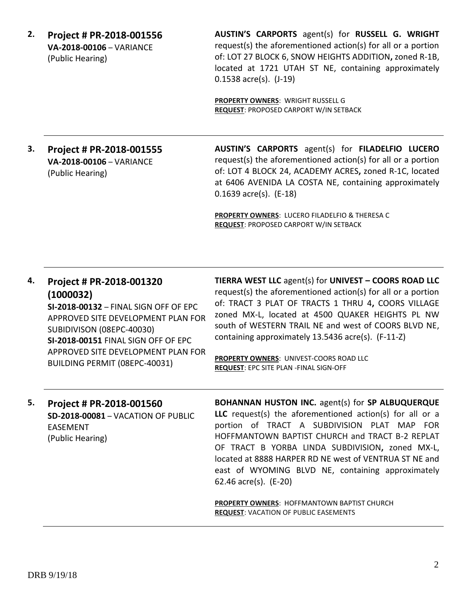**2. Project # PR-2018-001556 VA-2018-00106** – VARIANCE (Public Hearing)

**AUSTIN'S CARPORTS** agent(s) for **RUSSELL G. WRIGHT** request(s) the aforementioned action(s) for all or a portion of: LOT 27 BLOCK 6, SNOW HEIGHTS ADDITION**,** zoned R-1B, located at 1721 UTAH ST NE, containing approximately 0.1538 acre(s). (J-19)

**PROPERTY OWNERS**: WRIGHT RUSSELL G **REQUEST**: PROPOSED CARPORT W/IN SETBACK

## **3. Project # PR-2018-001555 VA-2018-00106** – VARIANCE (Public Hearing)

**AUSTIN'S CARPORTS** agent(s) for **FILADELFIO LUCERO** request(s) the aforementioned action(s) for all or a portion of: LOT 4 BLOCK 24, ACADEMY ACRES**,** zoned R-1C, located at 6406 AVENIDA LA COSTA NE, containing approximately 0.1639 acre(s). (E-18)

**PROPERTY OWNERS**: LUCERO FILADELFIO & THERESA C **REQUEST**: PROPOSED CARPORT W/IN SETBACK

| 4. | Project # PR-2018-001320<br>(1000032)<br>SI-2018-00132 - FINAL SIGN OFF OF EPC<br>APPROVED SITE DEVELOPMENT PLAN FOR<br>SUBIDIVISON (08EPC-40030)<br>SI-2018-00151 FINAL SIGN OFF OF EPC<br>APPROVED SITE DEVELOPMENT PLAN FOR<br>BUILDING PERMIT (08EPC-40031) | <b>TIERRA WEST LLC agent(s) for UNIVEST - COORS ROAD LLC</b><br>request(s) the aforementioned action(s) for all or a portion<br>of: TRACT 3 PLAT OF TRACTS 1 THRU 4, COORS VILLAGE<br>zoned MX-L, located at 4500 QUAKER HEIGHTS PL NW<br>south of WESTERN TRAIL NE and west of COORS BLVD NE,<br>containing approximately 13.5436 acre(s). (F-11-Z)<br>PROPERTY OWNERS: UNIVEST-COORS ROAD LLC<br><b>REQUEST: EPC SITE PLAN - FINAL SIGN-OFF</b>              |
|----|-----------------------------------------------------------------------------------------------------------------------------------------------------------------------------------------------------------------------------------------------------------------|----------------------------------------------------------------------------------------------------------------------------------------------------------------------------------------------------------------------------------------------------------------------------------------------------------------------------------------------------------------------------------------------------------------------------------------------------------------|
| 5. | Project # PR-2018-001560<br>SD-2018-00081 - VACATION OF PUBLIC<br><b>EASEMENT</b><br>(Public Hearing)                                                                                                                                                           | BOHANNAN HUSTON INC. agent(s) for SP ALBUQUERQUE<br>LLC request(s) the aforementioned action(s) for all or a<br>portion of TRACT A SUBDIVISION PLAT MAP FOR<br>HOFFMANTOWN BAPTIST CHURCH and TRACT B-2 REPLAT<br>OF TRACT B YORBA LINDA SUBDIVISION, zoned MX-L,<br>located at 8888 HARPER RD NE west of VENTRUA ST NE and<br>east of WYOMING BLVD NE, containing approximately<br>62.46 $\arccos 62$ . (E-20)<br>PROPERTY OWNERS: HOFFMANTOWN BAPTIST CHURCH |

**REQUEST**: VACATION OF PUBLIC EASEMENTS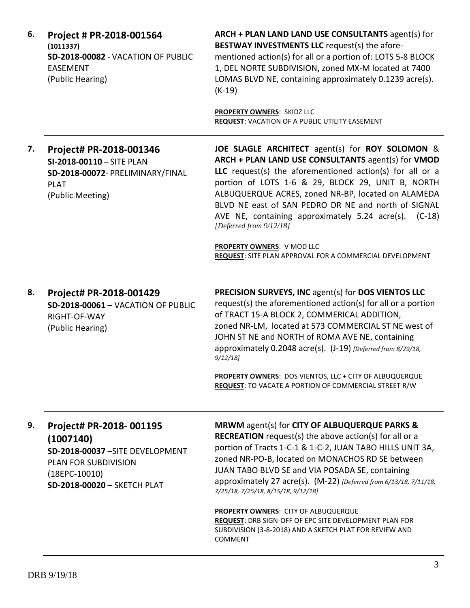| 6. | Project # PR-2018-001564<br>(1011337)<br>SD-2018-00082 - VACATION OF PUBLIC<br><b>EASEMENT</b><br>(Public Hearing)                                 | ARCH + PLAN LAND LAND USE CONSULTANTS agent(s) for<br>BESTWAY INVESTMENTS LLC request(s) the afore-<br>mentioned action(s) for all or a portion of: LOTS 5-8 BLOCK<br>1, DEL NORTE SUBDIVISION, zoned MX-M located at 7400<br>LOMAS BLVD NE, containing approximately 0.1239 acre(s).<br>$(K-19)$                                                                                                                                        |
|----|----------------------------------------------------------------------------------------------------------------------------------------------------|------------------------------------------------------------------------------------------------------------------------------------------------------------------------------------------------------------------------------------------------------------------------------------------------------------------------------------------------------------------------------------------------------------------------------------------|
|    |                                                                                                                                                    | <b>PROPERTY OWNERS: SKIDZ LLC</b><br>REQUEST: VACATION OF A PUBLIC UTILITY EASEMENT                                                                                                                                                                                                                                                                                                                                                      |
| 7. | Project# PR-2018-001346<br>SI-2018-00110 - SITE PLAN<br>SD-2018-00072- PRELIMINARY/FINAL<br><b>PLAT</b><br>(Public Meeting)                        | JOE SLAGLE ARCHITECT agent(s) for ROY SOLOMON &<br>ARCH + PLAN LAND USE CONSULTANTS agent(s) for VMOD<br>LLC request(s) the aforementioned action(s) for all or a<br>portion of LOTS 1-6 & 29, BLOCK 29, UNIT B, NORTH<br>ALBUQUERQUE ACRES, zoned NR-BP, located on ALAMEDA<br>BLVD NE east of SAN PEDRO DR NE and north of SIGNAL<br>AVE NE, containing approximately 5.24 acre(s).<br>$(C-18)$<br>[Deferred from 9/12/18]             |
|    |                                                                                                                                                    | <b>PROPERTY OWNERS: V MOD LLC</b><br>REQUEST: SITE PLAN APPROVAL FOR A COMMERCIAL DEVELOPMENT                                                                                                                                                                                                                                                                                                                                            |
| 8. | Project# PR-2018-001429<br><b>SD-2018-00061 - VACATION OF PUBLIC</b><br>RIGHT-OF-WAY<br>(Public Hearing)                                           | PRECISION SURVEYS, INC agent(s) for DOS VIENTOS LLC<br>request(s) the aforementioned action(s) for all or a portion<br>of TRACT 15-A BLOCK 2, COMMERICAL ADDITION,<br>zoned NR-LM, located at 573 COMMERCIAL ST NE west of<br>JOHN ST NE and NORTH of ROMA AVE NE, containing<br>approximately 0.2048 acre(s). (J-19) [Deferred from 8/29/18,<br>9/12/18                                                                                 |
|    |                                                                                                                                                    | PROPERTY OWNERS: DOS VIENTOS, LLC + CITY OF ALBUQUERQUE<br>REQUEST: TO VACATE A PORTION OF COMMERCIAL STREET R/W                                                                                                                                                                                                                                                                                                                         |
| 9. | Project# PR-2018-001195<br>(1007140)<br>SD-2018-00037 - SITE DEVELOPMENT<br>PLAN FOR SUBDIVISION<br>$(18EPC-10010)$<br>SD-2018-00020 - SKETCH PLAT | MRWM agent(s) for CITY OF ALBUQUERQUE PARKS &<br><b>RECREATION</b> request(s) the above $action(s)$ for all or a<br>portion of Tracts 1-C-1 & 1-C-2, JUAN TABO HILLS UNIT 3A,<br>zoned NR-PO-B, located on MONACHOS RD SE between<br>JUAN TABO BLVD SE and VIA POSADA SE, containing<br>approximately 27 acre(s). (M-22) [Deferred from 6/13/18, 7/11/18,<br>7/25/18, 7/25/18, 8/15/18, 9/12/18]<br>PROPERTY OWNERS: CITY OF ALBUQUERQUE |
|    |                                                                                                                                                    | REQUEST: DRB SIGN-OFF OF EPC SITE DEVELOPMENT PLAN FOR<br>SUBDIVISION (3-8-2018) AND A SKETCH PLAT FOR REVIEW AND<br><b>COMMENT</b>                                                                                                                                                                                                                                                                                                      |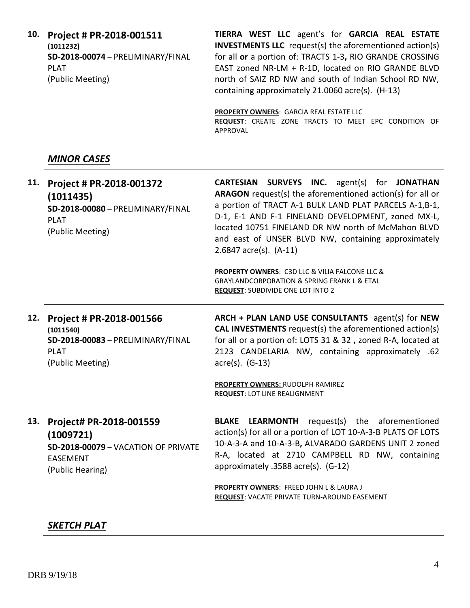**10. Project # PR-2018-001511 (1011232) SD-2018-00074** – PRELIMINARY/FINAL PLAT (Public Meeting)

**TIERRA WEST LLC** agent's for **GARCIA REAL ESTATE INVESTMENTS LLC** request(s) the aforementioned action(s) for all **or** a portion of: TRACTS 1-3**,** RIO GRANDE CROSSING EAST zoned NR-LM + R-1D, located on RIO GRANDE BLVD north of SAIZ RD NW and south of Indian School RD NW, containing approximately 21.0060 acre(s). (H-13)

**PROPERTY OWNERS**: GARCIA REAL ESTATE LLC **REQUEST**: CREATE ZONE TRACTS TO MEET EPC CONDITION OF APPROVAL

## *MINOR CASES*

| 11. | Project # PR-2018-001372<br>(1011435)<br>SD-2018-00080 - PRELIMINARY/FINAL<br><b>PLAT</b><br>(Public Meeting)      | <b>CARTESIAN SURVEYS INC.</b> agent(s) for JONATHAN<br>ARAGON request(s) the aforementioned action(s) for all or<br>a portion of TRACT A-1 BULK LAND PLAT PARCELS A-1,B-1,<br>D-1, E-1 AND F-1 FINELAND DEVELOPMENT, zoned MX-L,<br>located 10751 FINELAND DR NW north of McMahon BLVD<br>and east of UNSER BLVD NW, containing approximately<br>$2.6847$ acre(s). $(A-11)$ |
|-----|--------------------------------------------------------------------------------------------------------------------|-----------------------------------------------------------------------------------------------------------------------------------------------------------------------------------------------------------------------------------------------------------------------------------------------------------------------------------------------------------------------------|
|     |                                                                                                                    | <b>PROPERTY OWNERS: C3D LLC &amp; VILIA FALCONE LLC &amp;</b><br><b>GRAYLANDCORPORATION &amp; SPRING FRANK L &amp; ETAL</b><br><b>REQUEST: SUBDIVIDE ONE LOT INTO 2</b>                                                                                                                                                                                                     |
| 12. | Project # PR-2018-001566<br>(1011540)<br>SD-2018-00083 - PRELIMINARY/FINAL<br><b>PLAT</b><br>(Public Meeting)      | ARCH + PLAN LAND USE CONSULTANTS agent(s) for NEW<br><b>CAL INVESTMENTS</b> request(s) the aforementioned action(s)<br>for all or a portion of: LOTS 31 & 32, zoned R-A, located at<br>2123 CANDELARIA NW, containing approximately .62<br>$\arccos 0$ . (G-13)<br>PROPERTY OWNERS: RUDOLPH RAMIREZ<br><b>REQUEST: LOT LINE REALIGNMENT</b>                                 |
| 13. | Project# PR-2018-001559<br>(1009721)<br>SD-2018-00079 - VACATION OF PRIVATE<br><b>EASEMENT</b><br>(Public Hearing) | request(s) the aforementioned<br><b>BLAKE</b><br><b>LEARMONTH</b><br>action(s) for all or a portion of LOT 10-A-3-B PLATS OF LOTS<br>10-A-3-A and 10-A-3-B, ALVARADO GARDENS UNIT 2 zoned<br>R-A, located at 2710 CAMPBELL RD NW, containing<br>approximately .3588 acre(s). (G-12)                                                                                         |
|     |                                                                                                                    | PROPERTY OWNERS: FREED JOHN L & LAURA J<br>REQUEST: VACATE PRIVATE TURN-AROUND EASEMENT                                                                                                                                                                                                                                                                                     |

## *SKETCH PLAT*